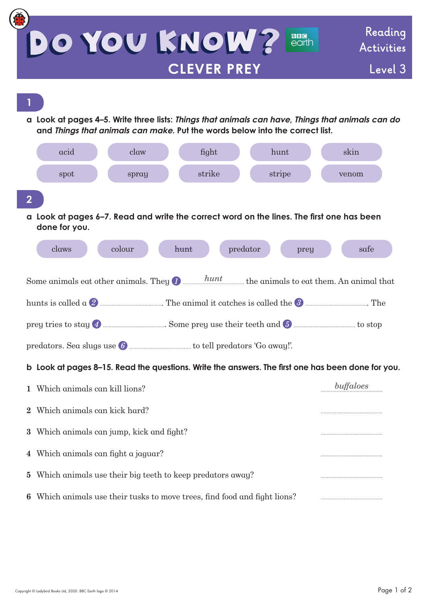| DO YOU KNOW?<br><b>BBG</b><br>earth                                                                                                                                                                                                     | Reading<br>Activities |
|-----------------------------------------------------------------------------------------------------------------------------------------------------------------------------------------------------------------------------------------|-----------------------|
| <b>CLEVER PREY</b>                                                                                                                                                                                                                      | Level 3               |
|                                                                                                                                                                                                                                         |                       |
| a Look at pages 4–5. Write three lists: Things that animals can have, Things that animals can do                                                                                                                                        |                       |
| and Things that animals can make. Put the words below into the correct list.                                                                                                                                                            |                       |
| acid<br>claw<br>fight<br>hunt                                                                                                                                                                                                           | skin                  |
| strike<br>stripe<br>spot<br>spray                                                                                                                                                                                                       | venom                 |
| 2                                                                                                                                                                                                                                       |                       |
| a Look at pages 6–7. Read and write the correct word on the lines. The first one has been<br>done for you.                                                                                                                              |                       |
| colour<br>claws<br>predator<br>hunt<br>prey                                                                                                                                                                                             | safe                  |
|                                                                                                                                                                                                                                         |                       |
| Some animals eat other animals. They $\bullet$ $\bullet$ $\bullet$ $\bullet$ $\bullet$ $\bullet$ animals to eat them. An animal that                                                                                                    |                       |
| hunts is called $\alpha$ 2 <b>and the contract of the contract of the contract of the contract of the state of the state of the state of the state of the state of the state of the state of the state of the state of the state of</b> |                       |
|                                                                                                                                                                                                                                         |                       |
|                                                                                                                                                                                                                                         |                       |
| b Look at pages 8–15. Read the questions. Write the answers. The first one has been done for you.                                                                                                                                       | buffaloes             |
| Which animals can kill lions?                                                                                                                                                                                                           |                       |
| Which animals can kick hard?<br>$\bf{2}$                                                                                                                                                                                                |                       |
| Which animals can jump, kick and fight?<br>3                                                                                                                                                                                            |                       |
| Which animals can fight a jaguar?<br>4                                                                                                                                                                                                  |                       |
| Which animals use their big teeth to keep predators away?<br>5                                                                                                                                                                          |                       |
| Which animals use their tusks to move trees, find food and fight lions?                                                                                                                                                                 |                       |

 $\overline{\mathcal{L}}$